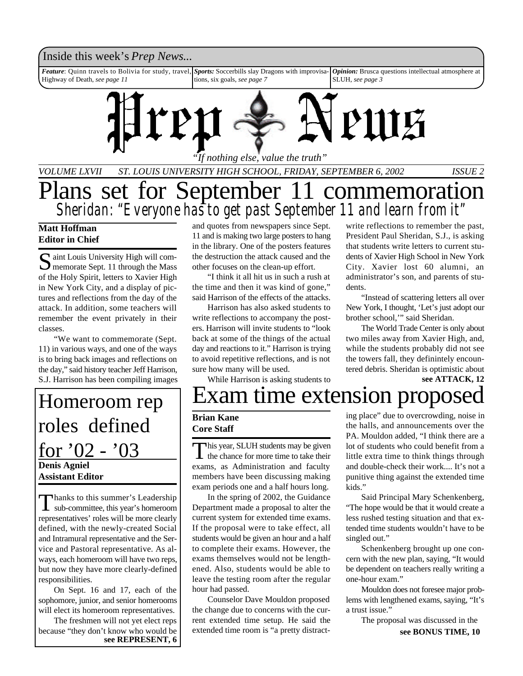# Inside this week's *Prep News*...

*Feature*: Quinn travels to Bolivia for study, travel, Highway of Death, *see page 11 Sports:* Soccerbills slay Dragons with improvisations, six goals, *see page 7 Opinion:* Brusca questions intellectual atmosphere at SLUH, *see page 3*



*VOLUME LXVII ST. LOUIS UNIVERSITY HIGH SCHOOL, FRIDAY, SEPTEMBER 6, 2002 ISSUE 2*

# Plans set for September 11 commemoration *Sheridan: "Everyone has to get past September 11 and learn from it"*

## **Matt Hoffman Editor in Chief**

Saint Louis University High will com-<br>
Superiorate Sept. 11 through the Mass aint Louis University High will comof the Holy Spirit, letters to Xavier High in New York City, and a display of pictures and reflections from the day of the attack. In addition, some teachers will remember the event privately in their classes.

"We want to commemorate (Sept. 11) in various ways, and one of the ways is to bring back images and reflections on the day," said history teacher Jeff Harrison, S.J. Harrison has been compiling images

**Denis Agniel Assistant Editor** Homeroom rep roles defined for  $'02 - '03$ 

Thanks to this summer's Leadership<br>sub-committee, this year's homeroom hanks to this summer's Leadership representatives' roles will be more clearly defined, with the newly-created Social and Intramural representative and the Service and Pastoral representative. As always, each homeroom will have two reps, but now they have more clearly-defined responsibilities.

On Sept. 16 and 17, each of the sophomore, junior, and senior homerooms will elect its homeroom representatives.

The freshmen will not yet elect reps because "they don't know who would be **see REPRESENT, 6** and quotes from newspapers since Sept. 11 and is making two large posters to hang in the library. One of the posters features the destruction the attack caused and the other focuses on the clean-up effort.

"I think it all hit us in such a rush at the time and then it was kind of gone," said Harrison of the effects of the attacks.

Harrison has also asked students to write reflections to accompany the posters. Harrison will invite students to "look back at some of the things of the actual day and reactions to it." Harrison is trying to avoid repetitive reflections, and is not sure how many will be used.

While Harrison is asking students to

write reflections to remember the past, President Paul Sheridan, S.J., is asking that students write letters to current students of Xavier High School in New York City. Xavier lost 60 alumni, an administrator's son, and parents of students.

"Instead of scattering letters all over New York, I thought, 'Let's just adopt our brother school,'" said Sheridan.

The World Trade Center is only about two miles away from Xavier High, and, while the students probably did not see the towers fall, they definintely encountered debris. Sheridan is optimistic about

**see ATTACK, 12**

# Exam time extension propose

### **Brian Kane Core Staff**

This year, SLUH students may be given<br>the chance for more time to take their This year, SLUH students may be given exams, as Administration and faculty members have been discussing making exam periods one and a half hours long.

In the spring of 2002, the Guidance Department made a proposal to alter the current system for extended time exams. If the proposal were to take effect, all students would be given an hour and a half to complete their exams. However, the exams themselves would not be lengthened. Also, students would be able to leave the testing room after the regular hour had passed.

Counselor Dave Mouldon proposed the change due to concerns with the current extended time setup. He said the extended time room is "a pretty distracting place" due to overcrowding, noise in the halls, and announcements over the PA. Mouldon added, "I think there are a lot of students who could benefit from a little extra time to think things through and double-check their work.... It's not a punitive thing against the extended time kids."

Said Principal Mary Schenkenberg, "The hope would be that it would create a less rushed testing situation and that extended time students wouldn't have to be singled out."

Schenkenberg brought up one concern with the new plan, saying, "It would be dependent on teachers really writing a one-hour exam."

Mouldon does not foresee major problems with lengthened exams, saying, "It's a trust issue."

The proposal was discussed in the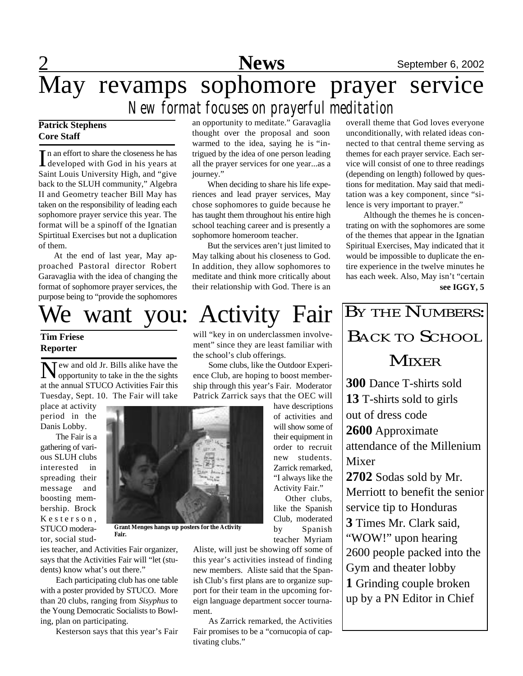# **News** September 6, 2002

# May revamps sophomore prayer service

# *New format focuses on prayerful meditation*

# **Patrick Stephens Core Staff**

In an effort to share the closeness he has<br>developed with God in his years at n an effort to share the closeness he has Saint Louis University High, and "give back to the SLUH community," Algebra II and Geometry teacher Bill May has taken on the responsibility of leading each sophomore prayer service this year. The format will be a spinoff of the Ignatian Spirtitual Exercises but not a duplication of them.

At the end of last year, May approached Pastoral director Robert Garavaglia with the idea of changing the format of sophomore prayer services, the purpose being to "provide the sophomores

# We want you: Activity Fair

## **Tim Friese Reporter**

New and old Jr. Bills alike have the opportunity to take in the the sights opportunity to take in the the sights at the annual STUCO Activities Fair this Tuesday, Sept. 10. The Fair will take

place at activity period in the Danis Lobby.

The Fair is a gathering of various SLUH clubs interested in spreading their message and boosting membership. Brock Kesterson, STUCO moderator, social stud-



**Grant Menges hangs up posters for the Activity Fair.**

ies teacher, and Activities Fair organizer, says that the Activities Fair will "let (students) know what's out there."

Each participating club has one table with a poster provided by STUCO. More than 20 clubs, ranging from *Sisyphus* to the Young Democratic Socialists to Bowling, plan on participating.

Kesterson says that this year's Fair

an opportunity to meditate." Garavaglia thought over the proposal and soon warmed to the idea, saying he is "intrigued by the idea of one person leading all the prayer services for one year...as a journey."

When deciding to share his life experiences and lead prayer services, May chose sophomores to guide because he has taught them throughout his entire high school teaching career and is presently a sophomore homeroom teacher.

But the services aren't just limited to May talking about his closeness to God. In addition, they allow sophomores to meditate and think more critically about their relationship with God. There is an

will "key in on underclassmen involvement" since they are least familiar with the school's club offerings.

Some clubs, like the Outdoor Experience Club, are hoping to boost membership through this year's Fair. Moderator Patrick Zarrick says that the OEC will

have descriptions of activities and will show some of their equipment in order to recruit new students. Zarrick remarked, "I always like the Activity Fair." Other clubs,

like the Spanish Club, moderated by Spanish teacher Myriam

Aliste, will just be showing off some of this year's activities instead of finding new members. Aliste said that the Spanish Club's first plans are to organize support for their team in the upcoming foreign language department soccer tournament.

As Zarrick remarked, the Activities Fair promises to be a "cornucopia of captivating clubs."

overall theme that God loves everyone unconditionally, with related ideas connected to that central theme serving as themes for each prayer service. Each service will consist of one to three readings (depending on length) followed by questions for meditation. May said that meditation was a key component, since "silence is very important to prayer."

 Although the themes he is concentrating on with the sophomores are some of the themes that appear in the Ignatian Spiritual Exercises, May indicated that it would be impossible to duplicate the entire experience in the twelve minutes he has each week. Also, May isn't "certain **see IGGY, 5**

BY THE NUMBERS: BACK TO SCHOOL **MIXER 300** Dance T-shirts sold **13** T-shirts sold to girls out of dress code **2600** Approximate attendance of the Millenium Mixer **2702** Sodas sold by Mr. Merriott to benefit the senior service tip to Honduras **3** Times Mr. Clark said, "WOW!" upon hearing 2600 people packed into the Gym and theater lobby **1** Grinding couple broken up by a PN Editor in Chief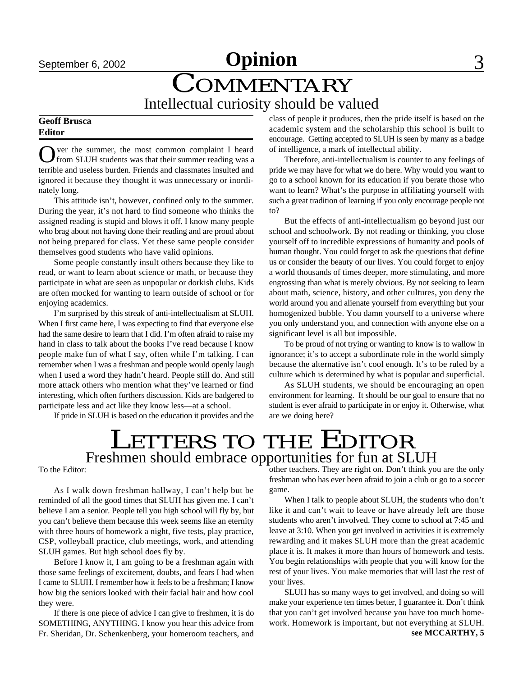# **September 6, 2002 Opinion** 3

# COMMENTARY Intellectual curiosity should be valued

### **Geoff Brusca Editor**

O ver the summer, the most common complaint I heard<br>from SLUH students was that their summer reading was a ver the summer, the most common complaint I heard terrible and useless burden. Friends and classmates insulted and ignored it because they thought it was unnecessary or inordinately long.

This attitude isn't, however, confined only to the summer. During the year, it's not hard to find someone who thinks the assigned reading is stupid and blows it off. I know many people who brag about not having done their reading and are proud about not being prepared for class. Yet these same people consider themselves good students who have valid opinions.

Some people constantly insult others because they like to read, or want to learn about science or math, or because they participate in what are seen as unpopular or dorkish clubs. Kids are often mocked for wanting to learn outside of school or for enjoying academics.

I'm surprised by this streak of anti-intellectualism at SLUH. When I first came here, I was expecting to find that everyone else had the same desire to learn that I did. I'm often afraid to raise my hand in class to talk about the books I've read because I know people make fun of what I say, often while I'm talking. I can remember when I was a freshman and people would openly laugh when I used a word they hadn't heard. People still do. And still more attack others who mention what they've learned or find interesting, which often furthers discussion. Kids are badgered to participate less and act like they know less—at a school.

If pride in SLUH is based on the education it provides and the

class of people it produces, then the pride itself is based on the academic system and the scholarship this school is built to encourage. Getting accepted to SLUH is seen by many as a badge of intelligence, a mark of intellectual ability.

Therefore, anti-intellectualism is counter to any feelings of pride we may have for what we do here. Why would you want to go to a school known for its education if you berate those who want to learn? What's the purpose in affiliating yourself with such a great tradition of learning if you only encourage people not to?

But the effects of anti-intellectualism go beyond just our school and schoolwork. By not reading or thinking, you close yourself off to incredible expressions of humanity and pools of human thought. You could forget to ask the questions that define us or consider the beauty of our lives. You could forget to enjoy a world thousands of times deeper, more stimulating, and more engrossing than what is merely obvious. By not seeking to learn about math, science, history, and other cultures, you deny the world around you and alienate yourself from everything but your homogenized bubble. You damn yourself to a universe where you only understand you, and connection with anyone else on a significant level is all but impossible.

To be proud of not trying or wanting to know is to wallow in ignorance; it's to accept a subordinate role in the world simply because the alternative isn't cool enough. It's to be ruled by a culture which is determined by what is popular and superficial.

As SLUH students, we should be encouraging an open environment for learning. It should be our goal to ensure that no student is ever afraid to participate in or enjoy it. Otherwise, what are we doing here?

# LETTERS TO THE EDITOR Freshmen should embrace opportunities for fun at SLUH

To the Editor:

As I walk down freshman hallway, I can't help but be reminded of all the good times that SLUH has given me. I can't believe I am a senior. People tell you high school will fly by, but you can't believe them because this week seems like an eternity with three hours of homework a night, five tests, play practice, CSP, volleyball practice, club meetings, work, and attending SLUH games. But high school does fly by.

Before I know it, I am going to be a freshman again with those same feelings of excitement, doubts, and fears I had when I came to SLUH. I remember how it feels to be a freshman; I know how big the seniors looked with their facial hair and how cool they were.

If there is one piece of advice I can give to freshmen, it is do SOMETHING, ANYTHING. I know you hear this advice from Fr. Sheridan, Dr. Schenkenberg, your homeroom teachers, and

other teachers. They are right on. Don't think you are the only freshman who has ever been afraid to join a club or go to a soccer game.

When I talk to people about SLUH, the students who don't like it and can't wait to leave or have already left are those students who aren't involved. They come to school at 7:45 and leave at 3:10. When you get involved in activities it is extremely rewarding and it makes SLUH more than the great academic place it is. It makes it more than hours of homework and tests. You begin relationships with people that you will know for the rest of your lives. You make memories that will last the rest of your lives.

SLUH has so many ways to get involved, and doing so will make your experience ten times better, I guarantee it. Don't think that you can't get involved because you have too much homework. Homework is important, but not everything at SLUH. **see MCCARTHY, 5**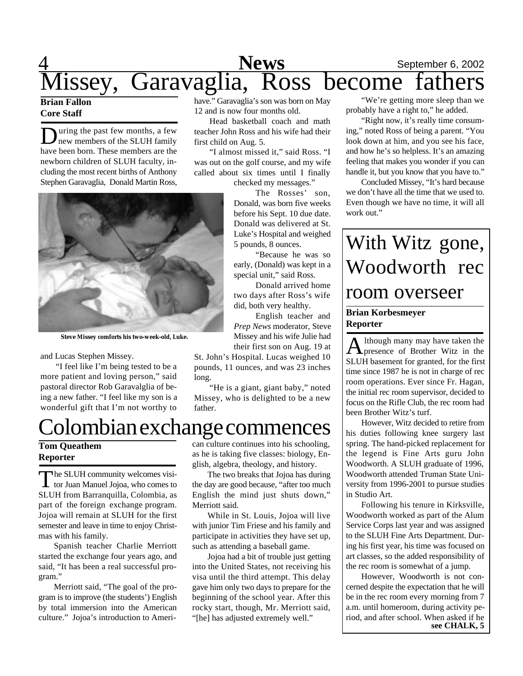

# **Core Staff**

During the past few months, a few<br>have been born. These members are the uring the past few months, a few new members of the SLUH family newborn children of SLUH faculty, including the most recent births of Anthony Stephen Garavaglia, Donald Martin Ross,

have." Garavaglia's son was born on May 12 and is now four months old.

Head basketball coach and math teacher John Ross and his wife had their first child on Aug. 5.

"I almost missed it," said Ross. "I was out on the golf course, and my wife called about six times until I finally checked my messages."

> The Rosses' son, Donald, was born five weeks before his Sept. 10 due date. Donald was delivered at St. Luke's Hospital and weighed 5 pounds, 8 ounces.

> "Because he was so early, (Donald) was kept in a special unit," said Ross.

Donald arrived home two days after Ross's wife did, both very healthy.

English teacher and *Prep News* moderator, Steve Missey and his wife Julie had their first son on Aug. 19 at St. John's Hospital. Lucas weighed 10 pounds, 11 ounces, and was 23 inches

"He is a giant, giant baby," noted Missey, who is delighted to be a new

**Steve Missey comforts his two-week-old, Luke.**

and Lucas Stephen Missey.

"I feel like I'm being tested to be a more patient and loving person," said pastoral director Rob Garavalglia of being a new father. "I feel like my son is a

# Colombian exchange commences

## **Tom Queathem Reporter**

The SLUH community welcomes visitor Juan Manuel Jojoa, who comes to he SLUH community welcomes visi-SLUH from Barranquilla, Colombia, as part of the foreign exchange program. Jojoa will remain at SLUH for the first semester and leave in time to enjoy Christmas with his family.

Spanish teacher Charlie Merriott started the exchange four years ago, and said, "It has been a real successful program."

Merriott said, "The goal of the program is to improve (the students') English by total immersion into the American culture." Jojoa's introduction to American culture continues into his schooling, as he is taking five classes: biology, English, algebra, theology, and history.

The two breaks that Jojoa has during the day are good because, "after too much English the mind just shuts down," Merriott said.

While in St. Louis, Jojoa will live with junior Tim Friese and his family and participate in activities they have set up, such as attending a baseball game.

Jojoa had a bit of trouble just getting into the United States, not receiving his visa until the third attempt. This delay gave him only two days to prepare for the beginning of the school year. After this rocky start, though, Mr. Merriott said, "[he] has adjusted extremely well."

"We're getting more sleep than we probably have a right to," he added.

"Right now, it's really time consuming," noted Ross of being a parent. "You look down at him, and you see his face, and how he's so helpless. It's an amazing feeling that makes you wonder if you can handle it, but you know that you have to."

Concluded Missey, "It's hard because we don't have all the time that we used to. Even though we have no time, it will all work out."

# With Witz gone, Woodworth rec room overseer

## **Brian Korbesmeyer Reporter**

A lthough many may have taken the<br>presence of Brother Witz in the lthough many may have taken the SLUH basement for granted, for the first time since 1987 he is not in charge of rec room operations. Ever since Fr. Hagan, the initial rec room supervisor, decided to focus on the Rifle Club, the rec room had been Brother Witz's turf.

However, Witz decided to retire from his duties following knee surgery last spring. The hand-picked replacement for the legend is Fine Arts guru John Woodworth. A SLUH graduate of 1996, Woodworth attended Truman State University from 1996-2001 to pursue studies in Studio Art.

Following his tenure in Kirksville, Woodworth worked as part of the Alum Service Corps last year and was assigned to the SLUH Fine Arts Department. During his first year, his time was focused on art classes, so the added responsibility of the rec room is somewhat of a jump.

However, Woodworth is not concerned despite the expectation that he will be in the rec room every morning from 7 a.m. until homeroom, during activity period, and after school. When asked if he **see CHALK, 5**

wonderful gift that I'm not worthy to long. father.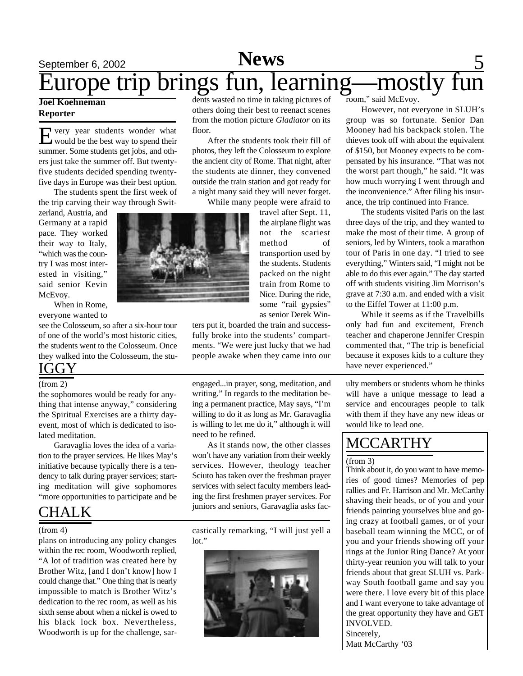# September 6, 2002 **News** 5 Europe trip brings fun, learning—mostly fun

### **Joel Koehneman Reporter**

E very year students wonder what<br>would be the best way to spend their very year students wonder what summer. Some students get jobs, and others just take the summer off. But twentyfive students decided spending twentyfive days in Europe was their best option.

The students spent the first week of the trip carving their way through Swit-

zerland, Austria, and Germany at a rapid pace. They worked their way to Italy, "which was the country I was most interested in visiting," said senior Kevin McEvoy.

When in Rome, everyone wanted to

see the Colosseum, so after a six-hour tour of one of the world's most historic cities, the students went to the Colosseum. Once they walked into the Colosseum, the stu-**IGGY** 

the sophomores would be ready for anything that intense anyway," considering the Spiritual Exercises are a thirty dayevent, most of which is dedicated to isolated meditation.

Garavaglia loves the idea of a variation to the prayer services. He likes May's initiative because typically there is a tendency to talk during prayer services; starting meditation will give sophomores "more opportunities to participate and be

# CHALK

plans on introducing any policy changes within the rec room, Woodworth replied, "A lot of tradition was created here by Brother Witz, [and I don't know] how I could change that." One thing that is nearly impossible to match is Brother Witz's dedication to the rec room, as well as his sixth sense about when a nickel is owed to his black lock box. Nevertheless, Woodworth is up for the challenge, sar-

dents wasted no time in taking pictures of others doing their best to reenact scenes from the motion picture *Gladiator* on its floor.

After the students took their fill of photos, they left the Colosseum to explore the ancient city of Rome. That night, after the students ate dinner, they convened outside the train station and got ready for a night many said they will never forget.

While many people were afraid to

travel after Sept. 11, the airplane flight was not the scariest method of transportion used by the students. Students packed on the night train from Rome to Nice. During the ride, some "rail gypsies" as senior Derek Win-

ters put it, boarded the train and successfully broke into the students' compartments. "We were just lucky that we had people awake when they came into our

(from 2) engaged...in prayer, song, meditation, and writing." In regards to the meditation being a permanent practice, May says, "I'm willing to do it as long as Mr. Garavaglia is willing to let me do it," although it will need to be refined.

> As it stands now, the other classes won't have any variation from their weekly services. However, theology teacher Sciuto has taken over the freshman prayer services with select faculty members leading the first freshmen prayer services. For juniors and seniors, Garavaglia asks fac-

(from 4) castically remarking, "I will just yell a lot."



room," said McEvoy.

However, not everyone in SLUH's group was so fortunate. Senior Dan Mooney had his backpack stolen. The thieves took off with about the equivalent of \$150, but Mooney expects to be compensated by his insurance. "That was not the worst part though," he said. "It was how much worrying I went through and the inconvenience." After filing his insurance, the trip continued into France.

The students visited Paris on the last three days of the trip, and they wanted to make the most of their time. A group of seniors, led by Winters, took a marathon tour of Paris in one day. "I tried to see everything," Winters said, "I might not be able to do this ever again." The day started off with students visiting Jim Morrison's grave at 7:30 a.m. and ended with a visit to the Eiffel Tower at 11:00 p.m.

While it seems as if the Travelbills only had fun and excitement, French teacher and chaperone Jennifer Crespin commented that, "The trip is beneficial because it exposes kids to a culture they have never experienced."

ulty members or students whom he thinks will have a unique message to lead a service and encourages people to talk with them if they have any new ideas or would like to lead one.

# MCCARTHY

### (from 3)

Think about it, do you want to have memories of good times? Memories of pep rallies and Fr. Harrison and Mr. McCarthy shaving their heads, or of you and your friends painting yourselves blue and going crazy at football games, or of your baseball team winning the MCC, or of you and your friends showing off your rings at the Junior Ring Dance? At your thirty-year reunion you will talk to your friends about that great SLUH vs. Parkway South football game and say you were there. I love every bit of this place and I want everyone to take advantage of the great opportunity they have and GET INVOLVED. Sincerely, Matt McCarthy '03

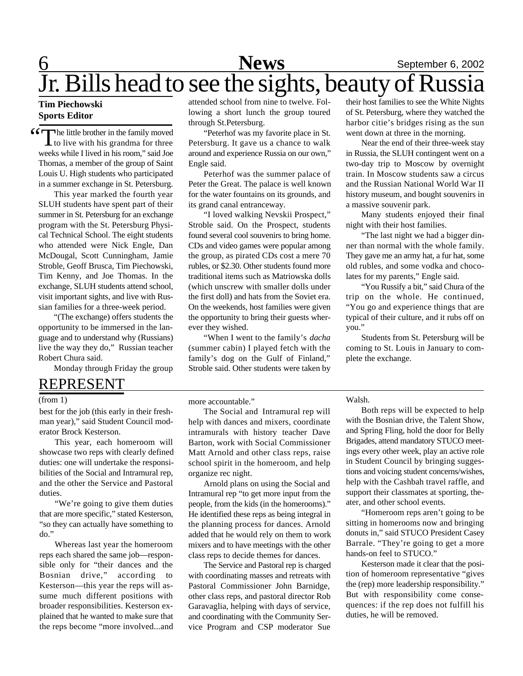# 6 **News** September 6, 2002 Jr. Bills head to see the sights, beauty of Russia

### **Tim Piechowski Sports Editor**

Complete little brother in the family moved<br>to live with his grandma for three  $\perp$  to live with his grandma for three weeks while I lived in his room," said Joe Thomas, a member of the group of Saint Louis U. High students who participated in a summer exchange in St. Petersburg.

This year marked the fourth year SLUH students have spent part of their summer in St. Petersburg for an exchange program with the St. Petersburg Physical Technical School. The eight students who attended were Nick Engle, Dan McDougal, Scott Cunningham, Jamie Stroble, Geoff Brusca, Tim Piechowski, Tim Kenny, and Joe Thomas. In the exchange, SLUH students attend school, visit important sights, and live with Russian families for a three-week period.

"(The exchange) offers students the opportunity to be immersed in the language and to understand why (Russians) live the way they do," Russian teacher Robert Chura said.

Monday through Friday the group

# REPRESENT

### (from 1)

best for the job (this early in their freshman year)," said Student Council moderator Brock Kesterson.

This year, each homeroom will showcase two reps with clearly defined duties: one will undertake the responsibilities of the Social and Intramural rep, and the other the Service and Pastoral duties.

"We're going to give them duties that are more specific," stated Kesterson, "so they can actually have something to do."

Whereas last year the homeroom reps each shared the same job—responsible only for "their dances and the Bosnian drive," according to Kesterson—this year the reps will assume much different positions with broader responsibilities. Kesterson explained that he wanted to make sure that the reps become "more involved...and attended school from nine to twelve. Following a short lunch the group toured through St.Petersburg.

"Peterhof was my favorite place in St. Petersburg. It gave us a chance to walk around and experience Russia on our own," Engle said.

Peterhof was the summer palace of Peter the Great. The palace is well known for the water fountains on its grounds, and its grand canal entranceway.

"I loved walking Nevskii Prospect," Stroble said. On the Prospect, students found several cool souvenirs to bring home. CDs and video games were popular among the group, as pirated CDs cost a mere 70 rubles, or \$2.30. Other students found more traditional items such as Matriowska dolls (which unscrew with smaller dolls under the first doll) and hats from the Soviet era. On the weekends, host families were given the opportunity to bring their guests wherever they wished.

"When I went to the family's *dacha* (summer cabin) I played fetch with the family's dog on the Gulf of Finland," Stroble said. Other students were taken by

their host families to see the White Nights of St. Petersburg, where they watched the harbor citie's bridges rising as the sun went down at three in the morning.

Near the end of their three-week stay in Russia, the SLUH contingent went on a two-day trip to Moscow by overnight train. In Moscow students saw a circus and the Russian National World War II history museum, and bought souvenirs in a massive souvenir park.

Many students enjoyed their final night with their host families.

"The last night we had a bigger dinner than normal with the whole family. They gave me an army hat, a fur hat, some old rubles, and some vodka and chocolates for my parents," Engle said.

"You Russify a bit," said Chura of the trip on the whole. He continued, "You go and experience things that are typical of their culture, and it rubs off on you."

Students from St. Petersburg will be coming to St. Louis in January to complete the exchange.

more accountable."

The Social and Intramural rep will help with dances and mixers, coordinate intramurals with history teacher Dave Barton, work with Social Commissioner Matt Arnold and other class reps, raise school spirit in the homeroom, and help organize rec night.

Arnold plans on using the Social and Intramural rep "to get more input from the people, from the kids (in the homerooms)." He identified these reps as being integral in the planning process for dances. Arnold added that he would rely on them to work mixers and to have meetings with the other class reps to decide themes for dances.

The Service and Pastoral rep is charged with coordinating masses and retreats with Pastoral Commissioner John Barnidge, other class reps, and pastoral director Rob Garavaglia, helping with days of service, and coordinating with the Community Service Program and CSP moderator Sue

Walsh.

Both reps will be expected to help with the Bosnian drive, the Talent Show, and Spring Fling, hold the door for Belly Brigades, attend mandatory STUCO meetings every other week, play an active role in Student Council by bringing suggestions and voicing student concerns/wishes, help with the Cashbah travel raffle, and support their classmates at sporting, theater, and other school events.

"Homeroom reps aren't going to be sitting in homerooms now and bringing donuts in," said STUCO President Casey Barrale. "They're going to get a more hands-on feel to STUCO."

Kesterson made it clear that the position of homeroom representative "gives the (rep) more leadership responsibility." But with responsibility come consequences: if the rep does not fulfill his duties, he will be removed.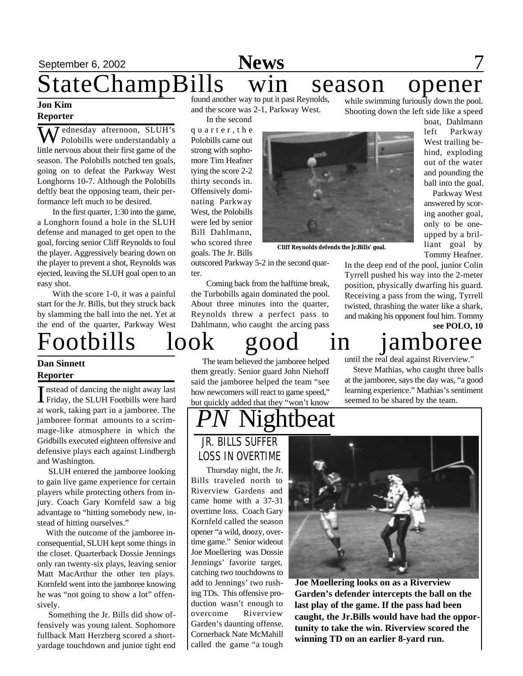# September 6, 2002 **News** 7 StateChampBills win season opener found another way to put it past Reynolds, while swimming furiously down the pool.

### **Jon Kim Reporter**

ednesday afternoon, SLUH's Polobills were understandably a little nervous about their first game of the season. The Polobills notched ten goals, going on to defeat the Parkway West Longhorns 10-7. Although the Polobills deftly beat the opposing team, their performance left much to be desired.

In the first quarter, 1:30 into the game, a Longhorn found a hole in the SLUH defense and managed to get open to the goal, forcing senior Cliff Reynolds to foul the player. Aggressively bearing down on the player to prevent a shot, Reynolds was ejected, leaving the SLUH goal open to an easy shot.

With the score 1-0, it was a painful start for the Jr. Bills, but they struck back by slamming the ball into the net. Yet at the end of the quarter, Parkway West

# **Dan Sinnett**

# **Reporter**

Instead of dancing the night away last<br>Friday, the SLUH Footbills were hard Friday, the SLUH Footbills were hard at work, taking part in a jamboree. The jamboree format amounts to a scrimmage-like atmosphere in which the Gridbills executed eighteen offensive and defensive plays each against Lindbergh and Washington.

 SLUH entered the jamboree looking to gain live game experience for certain players while protecting others from injury. Coach Gary Kornfeld saw a big advantage to "hitting somebody new, instead of hitting ourselves."

 With the outcome of the jamboree inconsequential, SLUH kept some things in the closet. Quarterback Dossie Jennings only ran twenty-six plays, leaving senior Matt MacArthur the other ten plays. Kornfeld went into the jamboree knowing he was "not going to show a lot" offensively.

 Something the Jr. Bills did show offensively was young talent. Sophomore fullback Matt Herzberg scored a shortyardage touchdown and junior tight end and the score was 2-1, Parkway West. In the second

q u a r t e r , t h e Polobills came out strong with sophomore Tim Heafner tying the score 2-2 thirty seconds in. Offensively dominating Parkway West, the Polobills were led by senior Bill Dahlmann, who scored three goals. The Jr. Bills outscored Parkway 5-2 in the second quar-

ter.



**Cliff Reynolds defends the Jr.Bills' goal.**

Shooting down the left side like a speed

boat, Dahlmann left Parkway West trailing behind, exploding out of the water and pounding the ball into the goal.

 Parkway West answered by scoring another goal, only to be oneupped by a brilliant goal by Tommy Heafner.

In the deep end of the pool, junior Colin Tyrrell pushed his way into the 2-meter position, physically dwarfing his guard. Receiving a pass from the wing, Tyrrell twisted, thrashing the water like a shark, and making his opponent foul him. Tommy **see POLO, 10**

Footbills look good in jamboree

 The team believed the jamboree helped them greatly. Senior guard John Niehoff said the jamboree helped the team "see how newcomers will react to game speed," but quickly added that they "won't know

Coming back from the halftime break, the Turbobills again dominated the pool. About three minutes into the quarter, Reynolds threw a perfect pass to Dahlmann, who caught the arcing pass

until the real deal against Riverview."

 Steve Mathias, who caught three balls at the jamboree, says the day was, "a good learning experience." Mathias's sentiment seemed to be shared by the team.

# **Parabrat**

JR. BILLS SUFFER LOSS IN OVERTIME

Thursday night, the Jr. Bills traveled north to Riverview Gardens and came home with a 37-31 overtime loss. Coach Gary Kornfeld called the season opener "a wild, doozy, overtime game." Senior wideout Joe Moellering was Dossie Jennings' favorite target, catching two touchdowns to add to Jennings' two rushing TDs. This offensive production wasn't enough to overcome Riverview Garden's daunting offense. Cornerback Nate McMahill called the game "a tough



**Joe Moellering looks on as a Riverview Garden's defender intercepts the ball on the last play of the game. If the pass had been caught, the Jr.Bills would have had the opportunity to take the win. Riverview scored the winning TD on an earlier 8-yard run.**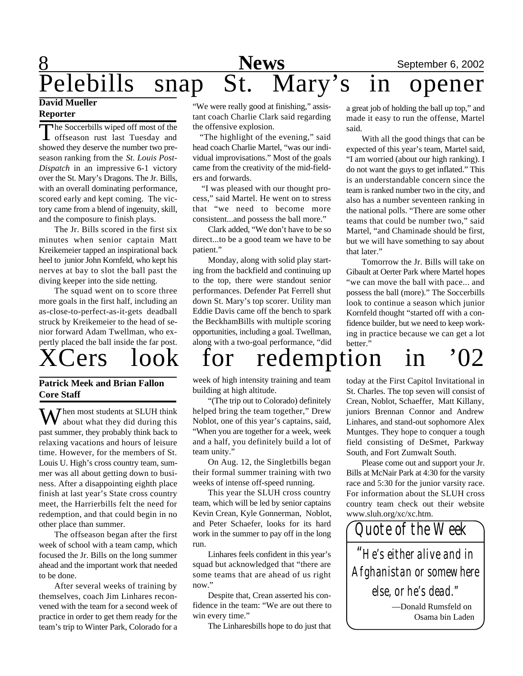# 8 **News** September 6, 2002 **News** September 6, 2002<br>Pelebills snap St. Mary's in opener **David Mueller**

# **Reporter**

The Soccerbills wiped off most of the<br>offseason rust last Tuesday and The Soccerbills wiped off most of the showed they deserve the number two preseason ranking from the *St. Louis Post-Dispatch* in an impressive 6-1 victory over the St. Mary's Dragons. The Jr. Bills, with an overall dominating performance, scored early and kept coming. The victory came from a blend of ingenuity, skill, and the composure to finish plays.

The Jr. Bills scored in the first six minutes when senior captain Matt Kreikemeier tapped an inspirational back heel to junior John Kornfeld, who kept his nerves at bay to slot the ball past the diving keeper into the side netting.

The squad went on to score three more goals in the first half, including an as-close-to-perfect-as-it-gets deadball struck by Kreikemeier to the head of senior forward Adam Twellman, who expertly placed the ball inside the far post.



## **Patrick Meek and Brian Fallon Core Staff**

 $\mathbf{W}$  hen most students at SLUH think about what they did during this past summer, they probably think back to relaxing vacations and hours of leisure time. However, for the members of St. Louis U. High's cross country team, summer was all about getting down to business. After a disappointing eighth place finish at last year's State cross country meet, the Harrierbills felt the need for redemption, and that could begin in no other place than summer.

The offseason began after the first week of school with a team camp, which focused the Jr. Bills on the long summer ahead and the important work that needed to be done.

After several weeks of training by themselves, coach Jim Linhares reconvened with the team for a second week of practice in order to get them ready for the team's trip to Winter Park, Colorado for a

"We were really good at finishing," assistant coach Charlie Clark said regarding the offensive explosion.

 "The highlight of the evening," said head coach Charlie Martel, "was our individual improvisations." Most of the goals came from the creativity of the mid-fielders and forwards.

 "I was pleased with our thought process," said Martel. He went on to stress that "we need to become more consistent...and possess the ball more."

Clark added, "We don't have to be so direct...to be a good team we have to be patient."

Monday, along with solid play starting from the backfield and continuing up to the top, there were standout senior performances. Defender Pat Ferrell shut down St. Mary's top scorer. Utility man Eddie Davis came off the bench to spark the BeckhamBills with multiple scoring opportunities, including a goal. Twellman, along with a two-goal performance, "did a great job of holding the ball up top," and made it easy to run the offense, Martel said.

With all the good things that can be expected of this year's team, Martel said, "I am worried (about our high ranking). I do not want the guys to get inflated." This is an understandable concern since the team is ranked number two in the city, and also has a number seventeen ranking in the national polls. "There are some other teams that could be number two," said Martel, "and Chaminade should be first, but we will have something to say about that later."

Tomorrow the Jr. Bills will take on Gibault at Oerter Park where Martel hopes "we can move the ball with pace... and possess the ball (more)." The Soccerbills look to continue a season which junior Kornfeld thought "started off with a confidence builder, but we need to keep working in practice because we can get a lot better."

# ers look for redemption in '02

week of high intensity training and team building at high altitude.

"(The trip out to Colorado) definitely helped bring the team together," Drew Noblot, one of this year's captains, said, "When you are together for a week, week and a half, you definitely build a lot of team unity."

On Aug. 12, the Singletbills began their formal summer training with two weeks of intense off-speed running.

This year the SLUH cross country team, which will be led by senior captains Kevin Crean, Kyle Gonnerman, Noblot, and Peter Schaefer, looks for its hard work in the summer to pay off in the long run.

Linhares feels confident in this year's squad but acknowledged that "there are some teams that are ahead of us right now."

Despite that, Crean asserted his confidence in the team: "We are out there to win every time."

The Linharesbills hope to do just that

today at the First Capitol Invitational in St. Charles. The top seven will consist of Crean, Noblot, Schaeffer, Matt Killany, juniors Brennan Connor and Andrew Linhares, and stand-out sophomore Alex Muntges. They hope to conquer a tough field consisting of DeSmet, Parkway South, and Fort Zumwalt South.

Please come out and support your Jr. Bills at McNair Park at 4:30 for the varsity race and 5:30 for the junior varsity race. For information about the SLUH cross country team check out their website www.sluh.org/xc/xc.htm.

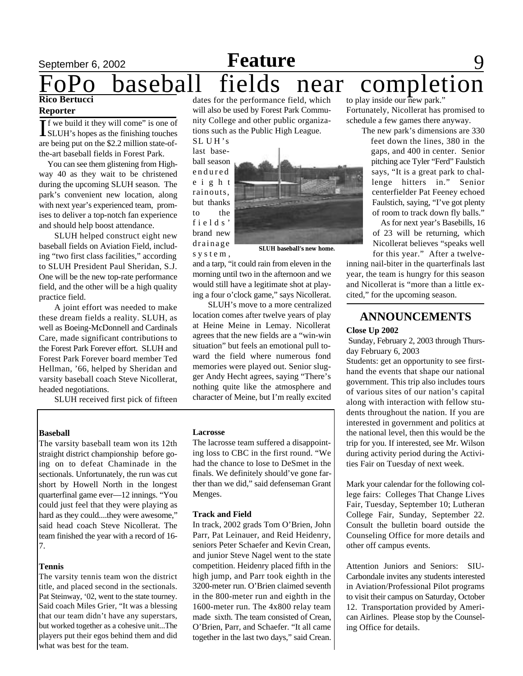# **September 6, 2002 Feature** 9 baseball fields near completion **Rico Bertucci** to play inside our new park."

#### **Reporter**

If we build it they will come" is one of<br>SLUH's hopes as the finishing touches **T** f we build it they will come" is one of are being put on the \$2.2 million state-ofthe-art baseball fields in Forest Park.

You can see them glistening from Highway 40 as they wait to be christened during the upcoming SLUH season. The park's convenient new location, along with next year's experienced team, promises to deliver a top-notch fan experience and should help boost attendance.

SLUH helped construct eight new baseball fields on Aviation Field, including "two first class facilities," according to SLUH President Paul Sheridan, S.J. One will be the new top-rate performance field, and the other will be a high quality practice field.

A joint effort was needed to make these dream fields a reality. SLUH, as well as Boeing-McDonnell and Cardinals Care, made significant contributions to the Forest Park Forever effort. SLUH and Forest Park Forever board member Ted Hellman, '66, helped by Sheridan and varsity baseball coach Steve Nicollerat, headed negotiations.

SLUH received first pick of fifteen

#### **Baseball**

The varsity baseball team won its 12th straight district championship before going on to defeat Chaminade in the sectionals. Unfortunately, the run was cut short by Howell North in the longest quarterfinal game ever—12 innings. "You could just feel that they were playing as hard as they could....they were awesome," said head coach Steve Nicollerat. The team finished the year with a record of 16- 7.

#### **Tennis**

The varsity tennis team won the district title, and placed second in the sectionals. Pat Steinway, '02, went to the state tourney. Said coach Miles Grier, "It was a blessing that our team didn't have any superstars, but worked together as a cohesive unit...The players put their egos behind them and did what was best for the team.

dates for the performance field, which will also be used by Forest Park Community College and other public organizations such as the Public High League.

SL U H 's last baseball season endured e i g h t rainouts, but thanks to the fields' brand new drainage s y s t e m ,



**SLUH baseball's new home.**

and a tarp, "it could rain from eleven in the morning until two in the afternoon and we would still have a legitimate shot at playing a four o'clock game," says Nicollerat.

SLUH's move to a more centralized location comes after twelve years of play at Heine Meine in Lemay. Nicollerat agrees that the new fields are a "win-win situation" but feels an emotional pull toward the field where numerous fond memories were played out. Senior slugger Andy Hecht agrees, saying "There's nothing quite like the atmosphere and character of Meine, but I'm really excited

Fortunately, Nicollerat has promised to schedule a few games there anyway.

> The new park's dimensions are 330 feet down the lines, 380 in the gaps, and 400 in center. Senior pitching ace Tyler "Ferd" Faulstich says, "It is a great park to challenge hitters in." Senior centerfielder Pat Feeney echoed Faulstich, saying, "I've got plenty of room to track down fly balls."

 As for next year's Basebills, 16 of 23 will be returning, which Nicollerat believes "speaks well for this year." After a twelve-

inning nail-biter in the quarterfinals last year, the team is hungry for this season and Nicollerat is "more than a little excited," for the upcoming season.

# **ANNOUNCEMENTS**

### **Close Up 2002**

 Sunday, February 2, 2003 through Thursday February 6, 2003

Students: get an opportunity to see firsthand the events that shape our national government. This trip also includes tours of various sites of our nation's capital along with interaction with fellow students throughout the nation. If you are interested in government and politics at the national level, then this would be the trip for you. If interested, see Mr. Wilson during activity period during the Activities Fair on Tuesday of next week.

Mark your calendar for the following college fairs: Colleges That Change Lives Fair, Tuesday, September 10; Lutheran College Fair, Sunday, September 22. Consult the bulletin board outside the Counseling Office for more details and other off campus events.

Attention Juniors and Seniors: SIU-Carbondale invites any students interested in Aviation/Professional Pilot programs to visit their campus on Saturday, October 12. Transportation provided by American Airlines. Please stop by the Counseling Office for details.

#### **Lacrosse**

The lacrosse team suffered a disappointing loss to CBC in the first round. "We had the chance to lose to DeSmet in the finals. We definitely should've gone farther than we did," said defenseman Grant Menges.

#### **Track and Field**

In track, 2002 grads Tom O'Brien, John Parr, Pat Leinauer, and Reid Heidenry, seniors Peter Schaefer and Kevin Crean, and junior Steve Nagel went to the state competition. Heidenry placed fifth in the high jump, and Parr took eighth in the 3200-meter run. O'Brien claimed seventh in the 800-meter run and eighth in the 1600-meter run. The 4x800 relay team made sixth. The team consisted of Crean, O'Brien, Parr, and Schaefer. "It all came together in the last two days," said Crean.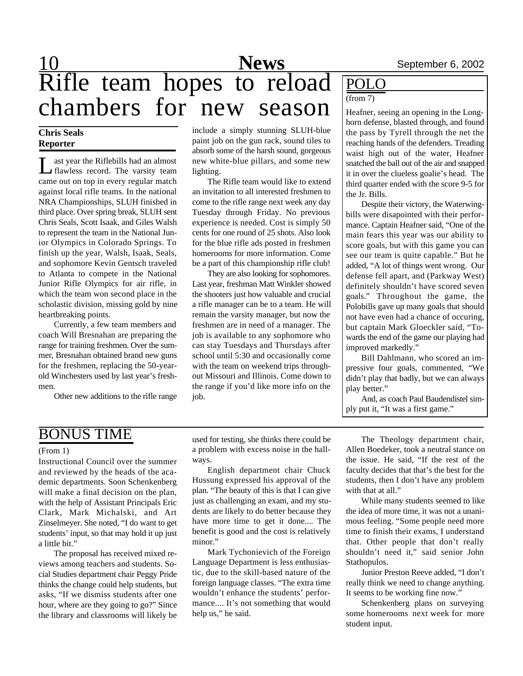# 10 **News** September 6, 2002 Rifle team hopes to reload chambers for  $\overline{\text{ new season}}$   $\parallel$ <sup>(trom /)</sup><br>Heafner, seeing an opening in the Long-

# **Chris Seals Reporter**

L ast year the Riflebills had an almost flawless record. The varsity team came out on top in every regular match against local rifle teams. In the national NRA Championships, SLUH finished in third place. Over spring break, SLUH sent Chris Seals, Scott Isaak, and Giles Walsh to represent the team in the National Junior Olympics in Colorado Springs. To finish up the year, Walsh, Isaak, Seals, and sophomore Kevin Gentsch traveled to Atlanta to compete in the National Junior Rifle Olympics for air rifle, in which the team won second place in the scholastic division, missing gold by nine heartbreaking points.

Currently, a few team members and coach Will Bresnahan are preparing the range for training freshmen. Over the summer, Bresnahan obtained brand new guns for the freshmen, replacing the 50-yearold Winchesters used by last year's freshmen.

Other new additions to the rifle range

include a simply stunning SLUH-blue paint job on the gun rack, sound tiles to absorb some of the harsh sound, gorgeous new white-blue pillars, and some new lighting.

The Rifle team would like to extend an invitation to all interested freshmen to come to the rifle range next week any day Tuesday through Friday. No previous experience is needed. Cost is simply 50 cents for one round of 25 shots. Also look for the blue rifle ads posted in freshmen homerooms for more information. Come be a part of this championship rifle club!

They are also looking for sophomores. Last year, freshman Matt Winkler showed the shooters just how valuable and crucial a rifle manager can be to a team. He will remain the varsity manager, but now the freshmen are in need of a manager. The job is available to any sophomore who can stay Tuesdays and Thursdays after school until 5:30 and occasionally come with the team on weekend trips throughout Missouri and Illinois. Come down to the range if you'd like more info on the job.

# POLO

### (from 7)

horn defense, blasted through, and found the pass by Tyrell through the net the reaching hands of the defenders. Treading waist high out of the water, Heafner snatched the ball out of the air and snapped it in over the clueless goalie's head. The third quarter ended with the score 9-5 for the Jr. Bills.

Despite their victory, the Waterwingbills were disapointed with their performance. Captain Heafner said, "One of the main fears this year was our ability to score goals, but with this game you can see our team is quite capable." But he added, "A lot of things went wrong. Our defense fell apart, and (Parkway West) definitely shouldn't have scored seven goals." Throughout the game, the Polobills gave up many goals that should not have even had a chance of occuring, but captain Mark Gloeckler said, "Towards the end of the game our playing had improved markedly."

Bill Dahlmann, who scored an impressive four goals, commented, "We didn't play that badly, but we can always play better."

And, as coach Paul Baudendistel simply put it, "It was a first game."

# BONUS TIME

### (From 1)

Instructional Council over the summer and reviewed by the heads of the academic departments. Soon Schenkenberg will make a final decision on the plan, with the help of Assistant Principals Eric Clark, Mark Michalski, and Art Zinselmeyer. She noted, "I do want to get students' input, so that may hold it up just a little bit."

The proposal has received mixed reviews among teachers and students. Social Studies department chair Peggy Pride thinks the change could help students, but asks, "If we dismiss students after one hour, where are they going to go?" Since the library and classrooms will likely be

used for testing, she thinks there could be a problem with excess noise in the hallways.

English department chair Chuck Hussung expressed his approval of the plan. "The beauty of this is that I can give just as challenging an exam, and my students are likely to do better because they have more time to get it done.... The benefit is good and the cost is relatively minor."

Mark Tychonievich of the Foreign Language Department is less enthusiastic, due to the skill-based nature of the foreign language classes. "The extra time wouldn't enhance the students' performance.... It's not something that would help us," he said.

The Theology department chair, Allen Boedeker, took a neutral stance on the issue. He said, "If the rest of the faculty decides that that's the best for the students, then I don't have any problem with that at all."

While many students seemed to like the idea of more time, it was not a unanimous feeling. "Some people need more time to finish their exams, I understand that. Other people that don't really shouldn't need it," said senior John Stathopulos.

Junior Preston Reeve added, "I don't really think we need to change anything. It seems to be working fine now."

Schenkenberg plans on surveying some homerooms next week for more student input.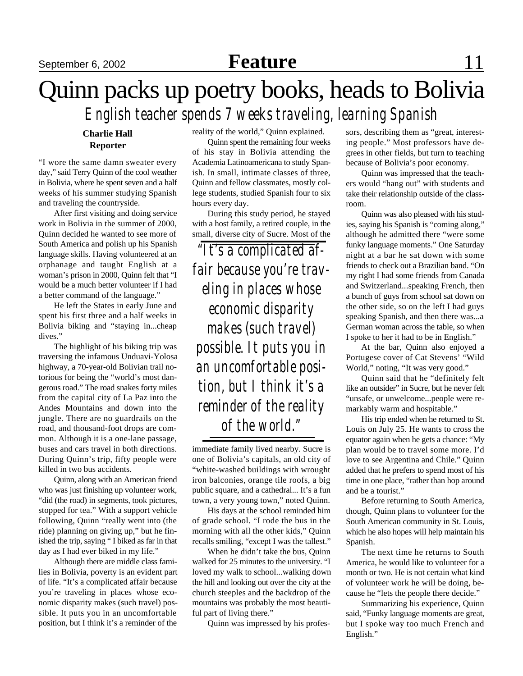# September 6, 2002 **Feature** 11

# Quinn packs up poetry books, heads to Bolivia *English teacher spends 7 weeks traveling, learning Spanish*

## **Charlie Hall Reporter**

"I wore the same damn sweater every day," said Terry Quinn of the cool weather in Bolivia, where he spent seven and a half weeks of his summer studying Spanish and traveling the countryside.

After first visiting and doing service work in Bolivia in the summer of 2000, Quinn decided he wanted to see more of South America and polish up his Spanish language skills. Having volunteered at an orphanage and taught English at a woman's prison in 2000, Quinn felt that "I would be a much better volunteer if I had a better command of the language."

He left the States in early June and spent his first three and a half weeks in Bolivia biking and "staying in...cheap dives."

The highlight of his biking trip was traversing the infamous Unduavi-Yolosa highway, a 70-year-old Bolivian trail notorious for being the "world's most dangerous road." The road snakes forty miles from the capital city of La Paz into the Andes Mountains and down into the jungle. There are no guardrails on the road, and thousand-foot drops are common. Although it is a one-lane passage, buses and cars travel in both directions. During Quinn's trip, fifty people were killed in two bus accidents.

Quinn, along with an American friend who was just finishing up volunteer work, "did (the road) in segments, took pictures, stopped for tea." With a support vehicle following, Quinn "really went into (the ride) planning on giving up," but he finished the trip, saying " I biked as far in that day as I had ever biked in my life."

Although there are middle class families in Bolivia, poverty is an evident part of life. "It's a complicated affair because you're traveling in places whose economic disparity makes (such travel) possible. It puts you in an uncomfortable position, but I think it's a reminder of the

reality of the world," Quinn explained.

Quinn spent the remaining four weeks of his stay in Bolivia attending the Academia Latinoamericana to study Spanish. In small, intimate classes of three, Quinn and fellow classmates, mostly college students, studied Spanish four to six hours every day.

During this study period, he stayed with a host family, a retired couple, in the small, diverse city of Sucre. Most of the

*"It's a complicated affair because you're traveling in places whose economic disparity makes (such travel) possible. It puts you in an uncomfortable position, but I think it's a reminder of the reality of the world."*

immediate family lived nearby. Sucre is one of Bolivia's capitals, an old city of "white-washed buildings with wrought iron balconies, orange tile roofs, a big public square, and a cathedral... It's a fun town, a very young town," noted Quinn.

His days at the school reminded him of grade school. "I rode the bus in the morning with all the other kids," Quinn recalls smiling, "except I was the tallest."

When he didn't take the bus, Quinn walked for 25 minutes to the university. "I loved my walk to school...walking down the hill and looking out over the city at the church steeples and the backdrop of the mountains was probably the most beautiful part of living there."

Quinn was impressed by his profes-

sors, describing them as "great, interesting people." Most professors have degrees in other fields, but turn to teaching because of Bolivia's poor economy.

Quinn was impressed that the teachers would "hang out" with students and take their relationship outside of the classroom.

Quinn was also pleased with his studies, saying his Spanish is "coming along," although he admitted there "were some funky language moments." One Saturday night at a bar he sat down with some friends to check out a Brazilian band. "On my right I had some friends from Canada and Switzerland...speaking French, then a bunch of guys from school sat down on the other side, so on the left I had guys speaking Spanish, and then there was...a German woman across the table, so when I spoke to her it had to be in English."

At the bar, Quinn also enjoyed a Portugese cover of Cat Stevens' "Wild World," noting, "It was very good."

Quinn said that he "definitely felt like an outsider" in Sucre, but he never felt "unsafe, or unwelcome...people were remarkably warm and hospitable."

His trip ended when he returned to St. Louis on July 25. He wants to cross the equator again when he gets a chance: "My plan would be to travel some more. I'd love to see Argentina and Chile." Quinn added that he prefers to spend most of his time in one place, "rather than hop around and be a tourist."

Before returning to South America, though, Quinn plans to volunteer for the South American community in St. Louis, which he also hopes will help maintain his Spanish.

The next time he returns to South America, he would like to volunteer for a month or two. He is not certain what kind of volunteer work he will be doing, because he "lets the people there decide."

Summarizing his experience, Quinn said, "Funky language moments are great, but I spoke way too much French and English."